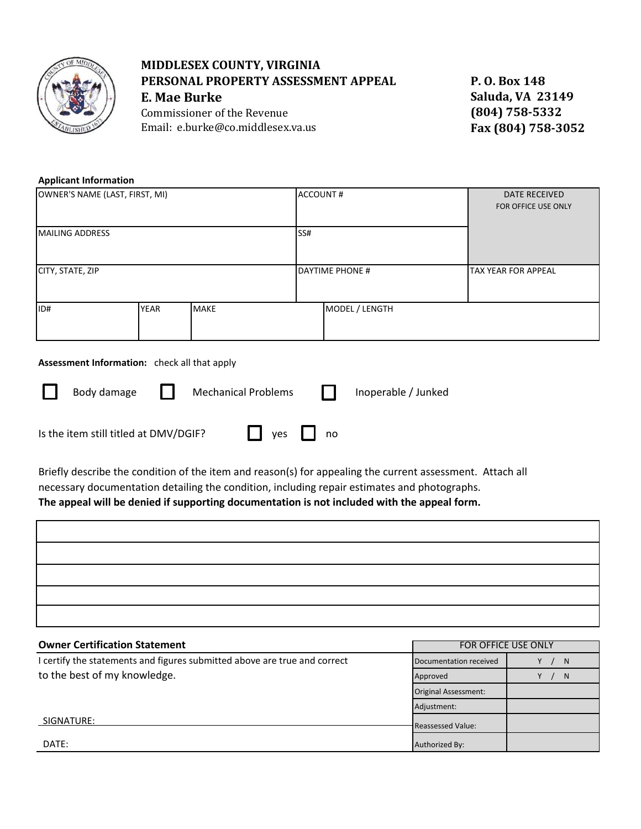

## **MIDDLESEX COUNTY, VIRGINIA PERSONAL PROPERTY ASSESSMENT APPEAL E. Mae Burke**

Commissioner of the Revenue Email: e.burke@co.middlesex.va.us **P. O. Box 148 Saluda, VA 23149 (804) 758-5332 Fax (804) 758-3052**

## **Applicant Information**

| OWNER'S NAME (LAST, FIRST, MI) |             |             | <b>ACCOUNT#</b> |                        | <b>DATE RECEIVED</b><br>FOR OFFICE USE ONLY |  |
|--------------------------------|-------------|-------------|-----------------|------------------------|---------------------------------------------|--|
| MAILING ADDRESS                |             |             | SS#             |                        |                                             |  |
| CITY, STATE, ZIP               |             |             |                 | <b>DAYTIME PHONE #</b> | TAX YEAR FOR APPEAL                         |  |
| ID#                            | <b>YEAR</b> | <b>MAKE</b> |                 | MODEL / LENGTH         |                                             |  |

## **Assessment Information:** check all that apply

| $\Box$ | Body damage                           | $\mathbf{1}$ | <b>Mechanical Problems</b> |                      | $\mathbf{1}$ | Inoperable / Junked |
|--------|---------------------------------------|--------------|----------------------------|----------------------|--------------|---------------------|
|        | Is the item still titled at DMV/DGIF? |              |                            | $\Box$ yes $\Box$ no |              |                     |

Briefly describe the condition of the item and reason(s) for appealing the current assessment. Attach all necessary documentation detailing the condition, including repair estimates and photographs.

## **The appeal will be denied if supporting documentation is not included with the appeal form.**

| <b>Owner Certification Statement</b>                                      | FOR OFFICE USE ONLY      |    |  |
|---------------------------------------------------------------------------|--------------------------|----|--|
| I certify the statements and figures submitted above are true and correct | Documentation received   | N  |  |
| to the best of my knowledge.                                              | Approved                 | N. |  |
|                                                                           | Original Assessment:     |    |  |
|                                                                           | Adjustment:              |    |  |
| SIGNATURE:                                                                | <b>Reassessed Value:</b> |    |  |
| DATE:                                                                     | Authorized By:           |    |  |